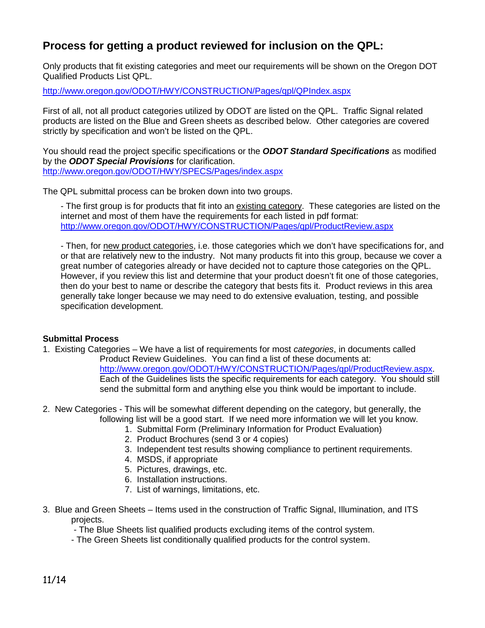## **Process for getting a product reviewed for inclusion on the QPL:**

Only products that fit existing categories and meet our requirements will be shown on the Oregon DOT Qualified Products List QPL.

<http://www.oregon.gov/ODOT/HWY/CONSTRUCTION/Pages/qpl/QPIndex.aspx>

First of all, not all product categories utilized by ODOT are listed on the QPL. Traffic Signal related products are listed on the Blue and Green sheets as described below. Other categories are covered strictly by specification and won't be listed on the QPL.

You should read the project specific specifications or the *ODOT Standard Specifications* as modified by the *ODOT Special Provisions* for clarification. <http://www.oregon.gov/ODOT/HWY/SPECS/Pages/index.aspx>

The QPL submittal process can be broken down into two groups.

- The first group is for products that fit into an existing category. These categories are listed on the internet and most of them have the requirements for each listed in pdf format: <http://www.oregon.gov/ODOT/HWY/CONSTRUCTION/Pages/qpl/ProductReview.aspx>

- Then, for new product categories, i.e. those categories which we don't have specifications for, and or that are relatively new to the industry. Not many products fit into this group, because we cover a great number of categories already or have decided not to capture those categories on the QPL. However, if you review this list and determine that your product doesn't fit one of those categories, then do your best to name or describe the category that bests fits it. Product reviews in this area generally take longer because we may need to do extensive evaluation, testing, and possible specification development.

## **Submittal Process**

- 1. Existing Categories We have a list of requirements for most *categories*, in documents called Product Review Guidelines. You can find a list of these documents at: [http://www.oregon.gov/ODOT/HWY/CONSTRUCTION/Pages/qpl/ProductReview.aspx.](http://www.oregon.gov/ODOT/HWY/CONSTRUCTION/Pages/qpl/ProductReview.aspx) Each of the Guidelines lists the specific requirements for each category. You should still send the submittal form and anything else you think would be important to include.
- 2. New Categories This will be somewhat different depending on the category, but generally, the following list will be a good start. If we need more information we will let you know.
	- 1. Submittal Form (Preliminary Information for Product Evaluation)
	- 2. Product Brochures (send 3 or 4 copies)
	- 3. Independent test results showing compliance to pertinent requirements.
	- 4. MSDS, if appropriate
	- 5. Pictures, drawings, etc.
	- 6. Installation instructions.
	- 7. List of warnings, limitations, etc.
- 3. Blue and Green Sheets Items used in the construction of Traffic Signal, Illumination, and ITS projects.

- The Blue Sheets list qualified products excluding items of the control system.

- The Green Sheets list conditionally qualified products for the control system.